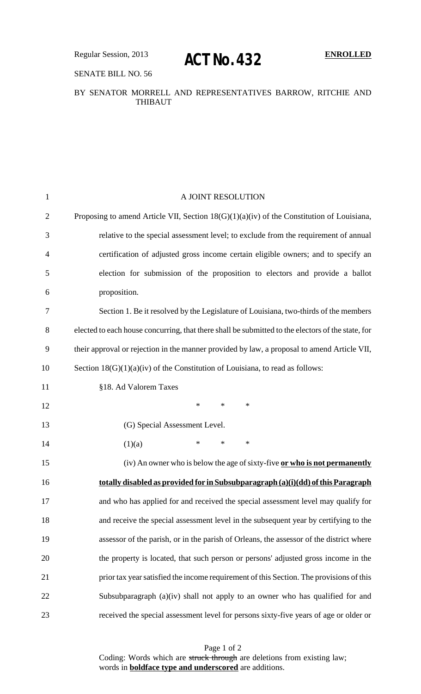# SENATE BILL NO. 56

### BY SENATOR MORRELL AND REPRESENTATIVES BARROW, RITCHIE AND THIBAUT

| $\mathbf{1}$   | A JOINT RESOLUTION                                                                                |
|----------------|---------------------------------------------------------------------------------------------------|
| $\overline{2}$ | Proposing to amend Article VII, Section $18(G)(1)(a)(iv)$ of the Constitution of Louisiana,       |
| 3              | relative to the special assessment level; to exclude from the requirement of annual               |
| $\overline{4}$ | certification of adjusted gross income certain eligible owners; and to specify an                 |
| 5              | election for submission of the proposition to electors and provide a ballot                       |
| 6              | proposition.                                                                                      |
| 7              | Section 1. Be it resolved by the Legislature of Louisiana, two-thirds of the members              |
| 8              | elected to each house concurring, that there shall be submitted to the electors of the state, for |
| 9              | their approval or rejection in the manner provided by law, a proposal to amend Article VII,       |
| 10             | Section $18(G)(1)(a)(iv)$ of the Constitution of Louisiana, to read as follows:                   |
| 11             | §18. Ad Valorem Taxes                                                                             |
| 12             | *<br>$\ast$<br>∗                                                                                  |
| 13             | (G) Special Assessment Level.                                                                     |
| 14             | *<br>$\ast$<br>∗<br>(1)(a)                                                                        |
| 15             | (iv) An owner who is below the age of sixty-five or who is not permanently                        |
| 16             | totally disabled as provided for in Subsubparagraph (a)(i)(dd) of this Paragraph                  |
| 17             | and who has applied for and received the special assessment level may qualify for                 |
| 18             | and receive the special assessment level in the subsequent year by certifying to the              |
| 19             | assessor of the parish, or in the parish of Orleans, the assessor of the district where           |
| 20             | the property is located, that such person or persons' adjusted gross income in the                |
| 21             | prior tax year satisfied the income requirement of this Section. The provisions of this           |
| 22             | Subsubparagraph (a)(iv) shall not apply to an owner who has qualified for and                     |
| 23             | received the special assessment level for persons sixty-five years of age or older or             |
|                |                                                                                                   |

Page 1 of 2 Coding: Words which are struck through are deletions from existing law; words in **boldface type and underscored** are additions.